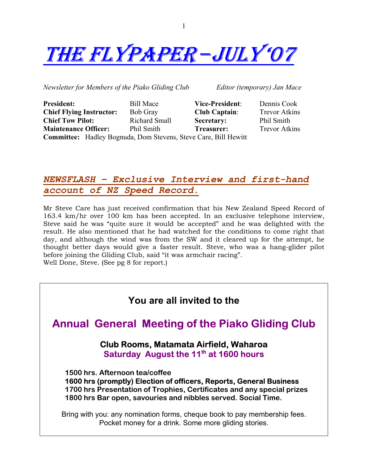

*Newsletter for Members of the Piako Gliding Club Editor (temporary) Jan Mace* 

| <b>President:</b>                                                      | <b>Bill Mace</b> | <b>Vice-President:</b> | Dennis Cook          |
|------------------------------------------------------------------------|------------------|------------------------|----------------------|
| <b>Chief Flying Instructor:</b>                                        | <b>Bob Gray</b>  | <b>Club Captain:</b>   | <b>Trevor Atkins</b> |
| <b>Chief Tow Pilot:</b>                                                | Richard Small    | Secretary:             | Phil Smith           |
| <b>Maintenance Officer:</b>                                            | Phil Smith       | <b>Treasurer:</b>      | <b>Trevor Atkins</b> |
| <b>Committee:</b> Hadley Bognuda, Dom Stevens, Steve Care, Bill Hewitt |                  |                        |                      |

#### *NEWSFLASH – Exclusive Interview and first-hand account of NZ Speed Record.*

Mr Steve Care has just received confirmation that his New Zealand Speed Record of 163.4 km/hr over 100 km has been accepted. In an exclusive telephone interview, Steve said he was "quite sure it would be accepted" and he was delighted with the result. He also mentioned that he had watched for the conditions to come right that day, and although the wind was from the SW and it cleared up for the attempt, he thought better days would give a faster result. Steve, who was a hang-glider pilot before joining the Gliding Club, said "it was armchair racing". Well Done, Steve. (See pg 8 for report.)

#### **You are all invited to the**

## **Annual General Meeting of the Piako Gliding Club**

#### **Club Rooms, Matamata Airfield, Waharoa Saturday August the 11<sup>th</sup> at 1600 hours**

 **1500 hrs. Afternoon tea/coffee 1600 hrs (promptly) Election of officers, Reports, General Business 1700 hrs Presentation of Trophies, Certificates and any special prizes 1800 hrs Bar open, savouries and nibbles served. Social Time.** 

Bring with you: any nomination forms, cheque book to pay membership fees. Pocket money for a drink. Some more gliding stories.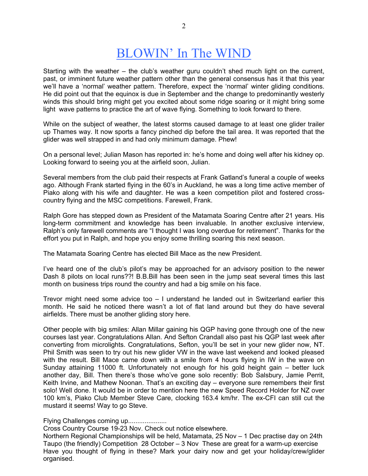# BLOWIN' In The WIND

Starting with the weather – the club's weather guru couldn't shed much light on the current, past, or imminent future weather pattern other than the general consensus has it that this year we'll have a 'normal' weather pattern. Therefore, expect the 'normal' winter gliding conditions. He did point out that the equinox is due in September and the change to predominantly westerly winds this should bring might get you excited about some ridge soaring or it might bring some light wave patterns to practice the art of wave flying. Something to look forward to there.

While on the subject of weather, the latest storms caused damage to at least one glider trailer up Thames way. It now sports a fancy pinched dip before the tail area. It was reported that the glider was well strapped in and had only minimum damage. Phew!

On a personal level; Julian Mason has reported in: he's home and doing well after his kidney op. Looking forward to seeing you at the airfield soon, Julian.

Several members from the club paid their respects at Frank Gatland's funeral a couple of weeks ago. Although Frank started flying in the 60's in Auckland, he was a long time active member of Piako along with his wife and daughter. He was a keen competition pilot and fostered crosscountry flying and the MSC competitions. Farewell, Frank.

Ralph Gore has stepped down as President of the Matamata Soaring Centre after 21 years. His long-term commitment and knowledge has been invaluable. In another exclusive interview, Ralph's only farewell comments are "I thought I was long overdue for retirement". Thanks for the effort you put in Ralph, and hope you enjoy some thrilling soaring this next season.

The Matamata Soaring Centre has elected Bill Mace as the new President.

I've heard one of the club's pilot's may be approached for an advisory position to the newer Dash 8 pilots on local runs??! B.B.Bill has been seen in the jump seat several times this last month on business trips round the country and had a big smile on his face.

Trevor might need some advice too – I understand he landed out in Switzerland earlier this month. He said he noticed there wasn't a lot of flat land around but they do have several airfields. There must be another gliding story here.

Other people with big smiles: Allan Millar gaining his QGP having gone through one of the new courses last year. Congratulations Allan. And Sefton Crandall also past his QGP last week after converting from microlights. Congratulations, Sefton, you'll be set in your new glider now, NT. Phil Smith was seen to try out his new glider VW in the wave last weekend and looked pleased with the result. Bill Mace came down with a smile from 4 hours flying in IW in the wave on Sunday attaining 11000 ft. Unfortunately not enough for his gold height gain – better luck another day, Bill. Then there's those who've gone solo recently: Bob Salsbury, Jamie Perrit, Keith Irvine, and Mathew Noonan. That's an exciting day – everyone sure remembers their first solo! Well done. It would be in order to mention here the new Speed Record Holder for NZ over 100 km's, Piako Club Member Steve Care, clocking 163.4 km/hr. The ex-CFI can still cut the mustard it seems! Way to go Steve.

Flying Challenges coming up.....................

Cross Country Course 19-23 Nov. Check out notice elsewhere.

Northern Regional Championships will be held, Matamata, 25 Nov – 1 Dec practise day on 24th Taupo (the friendly) Competition 28 October – 3 Nov These are great for a warm-up exercise Have you thought of flying in these? Mark your dairy now and get your holiday/crew/glider organised.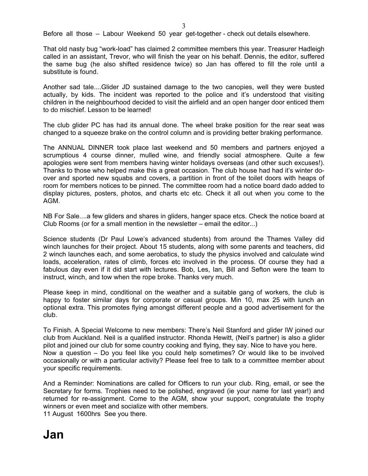Before all those – Labour Weekend 50 year get-together - check out details elsewhere.

That old nasty bug "work-load" has claimed 2 committee members this year. Treasurer Hadleigh called in an assistant, Trevor, who will finish the year on his behalf. Dennis, the editor, suffered the same bug (he also shifted residence twice) so Jan has offered to fill the role until a substitute is found.

Another sad tale....Glider JD sustained damage to the two canopies, well they were busted actually, by kids. The incident was reported to the police and it's understood that visiting children in the neighbourhood decided to visit the airfield and an open hanger door enticed them to do mischief. Lesson to be learned!

The club glider PC has had its annual done. The wheel brake position for the rear seat was changed to a squeeze brake on the control column and is providing better braking performance.

The ANNUAL DINNER took place last weekend and 50 members and partners enjoyed a scrumptious 4 course dinner, mulled wine, and friendly social atmosphere. Quite a few apologies were sent from members having winter holidays overseas (and other such excuses!). Thanks to those who helped make this a great occasion. The club house had had it's winter doover and sported new squabs and covers, a partition in front of the toilet doors with heaps of room for members notices to be pinned. The committee room had a notice board dado added to display pictures, posters, photos, and charts etc etc. Check it all out when you come to the AGM.

NB For Sale....a few gliders and shares in gliders, hanger space etcs. Check the notice board at Club Rooms (or for a small mention in the newsletter – email the editor...)

Science students (Dr Paul Lowe's advanced students) from around the Thames Valley did winch launches for their project. About 15 students, along with some parents and teachers, did 2 winch launches each, and some aerobatics, to study the physics involved and calculate wind loads, acceleration, rates of climb, forces etc involved in the process. Of course they had a fabulous day even if it did start with lectures. Bob, Les, Ian, Bill and Sefton were the team to instruct, winch, and tow when the rope broke. Thanks very much.

Please keep in mind, conditional on the weather and a suitable gang of workers, the club is happy to foster similar days for corporate or casual groups. Min 10, max 25 with lunch an optional extra. This promotes flying amongst different people and a good advertisement for the club.

To Finish. A Special Welcome to new members: There's Neil Stanford and glider IW joined our club from Auckland. Neil is a qualified instructor. Rhonda Hewitt, (Neil's partner) is also a glider pilot and joined our club for some country cooking and flying, they say. Nice to have you here. Now a question – Do you feel like you could help sometimes? Or would like to be involved occasionally or with a particular activity? Please feel free to talk to a committee member about your specific requirements.

And a Reminder: Nominations are called for Officers to run your club. Ring, email, or see the Secretary for forms. Trophies need to be polished, engraved (ie your name for last year!) and returned for re-assignment. Come to the AGM, show your support, congratulate the trophy winners or even meet and socialize with other members. 11 August 1600hrs See you there.

# **Jan**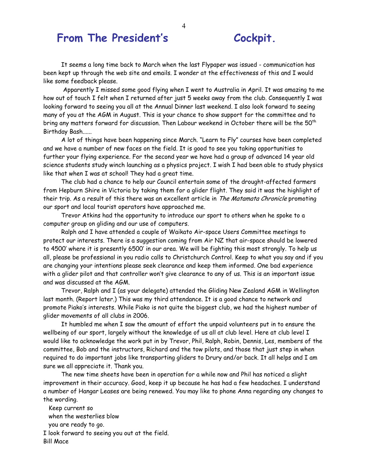## From The President's Cockpit.

 It seems a long time back to March when the last Flypaper was issued - communication has been kept up through the web site and emails. I wonder at the effectiveness of this and I would like some feedback please.

 Apparently I missed some good flying when I went to Australia in April. It was amazing to me how out of touch I felt when I returned after just 5 weeks away from the club. Consequently I was looking forward to seeing you all at the Annual Dinner last weekend. I also look forward to seeing many of you at the AGM in August. This is your chance to show support for the committee and to bring any matters forward for discussion. Then Labour weekend in October there will be the 50<sup>th</sup> Birthday Bash......

 A lot of things have been happening since March. "Learn to Fly" courses have been completed and we have a number of new faces on the field. It is good to see you taking opportunities to further your flying experience. For the second year we have had a group of advanced 14 year old science students study winch launching as a physics project. I wish I had been able to study physics like that when I was at school! They had a great time.

 The club had a chance to help our Council entertain some of the drought-affected farmers from Hepburn Shire in Victoria by taking them for a glider flight. They said it was the highlight of their trip. As a result of this there was an excellent article in The Matamata Chronicle promoting our sport and local tourist operators have approached me.

 Trevor Atkins had the opportunity to introduce our sport to others when he spoke to a computer group on gliding and our use of computers.

 Ralph and I have attended a couple of Waikato Air-space Users Committee meetings to protect our interests. There is a suggestion coming from Air NZ that air-space should be lowered to 4500' where it is presently 6500' in our area. We will be fighting this most strongly. To help us all, please be professional in you radio calls to Christchurch Control. Keep to what you say and if you are changing your intentions please seek clearance and keep them informed. One bad experience with a glider pilot and that controller won't give clearance to any of us. This is an important issue and was discussed at the AGM.

 Trevor, Ralph and I (as your delegate) attended the Gliding New Zealand AGM in Wellington last month. (Report later.) This was my third attendance. It is a good chance to network and promote Piako's interests. While Piako is not quite the biggest club, we had the highest number of glider movements of all clubs in 2006.

 It humbled me when I saw the amount of effort the unpaid volunteers put in to ensure the wellbeing of our sport, largely without the knowledge of us all at club level. Here at club level I would like to acknowledge the work put in by Trevor, Phil, Ralph, Robin, Dennis, Les, members of the committee, Bob and the instructors, Richard and the tow pilots, and those that just step in when required to do important jobs like transporting gliders to Drury and/or back. It all helps and I am sure we all appreciate it. Thank you.

 The new time sheets have been in operation for a while now and Phil has noticed a slight improvement in their accuracy. Good, keep it up because he has had a few headaches. I understand a number of Hangar Leases are being renewed. You may like to phone Anna regarding any changes to the wording.

 Keep current so when the westerlies blow you are ready to go. I look forward to seeing you out at the field. Bill Mace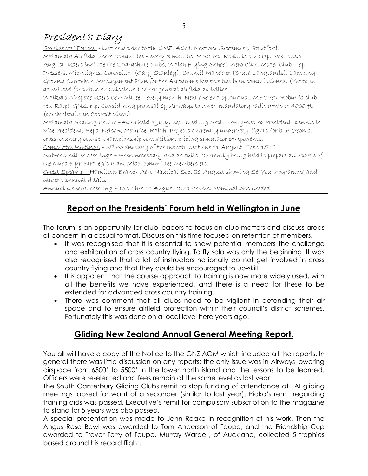## President's Diary

Presidents' Forum - last held prior to the GNZ AGM. Next one September, Stratford. Matamata Airfield Users Committee – every 3 months. MSC rep. Robin is club rep. Next one,6 August. Users include the 2 parachute clubs, Walsh Flying School, Aero Club, Model Club, Top Dressers, Microlights, Councillor (Gary Stanley), Council Manager (Bruce Langlands), Camping Ground Caretaker. Management Plan for the Aerodrome Reserve has been commissioned. (Yet to be advertised for public submissions.) Other general airfield activities.

Waikato Airspace Users Committee – every month. Next one end of August. MSC rep. Robin is club rep. Ralph GNZ rep. Considering proposal by Airways to lower mandatory radio down to 4000 ft. (check details in Cockpit views)

Matamata Soaring Centre –AGM held 7 July, next meeting Sept. Newly-elected President. Dennis is Vice President, Reps: Nelson, Maurice, Ralph. Projects currently underway: lights for bunkrooms, cross-country course, championship competition, pricing simulator components.

Committee Meetings – 3rd Wednesday of the month, next one 11 August. Then 15th ?

Sub-committee Meetings – when necessary and as suits. Currently being held to prepare an update of the clubs 5 yr Strategic Plan. Misc. committee members etc.

Guest Speaker – Hamilton Branch Aero Nautical Soc. 26 August showing SeeYou programme and glider technical details

Annual General Meeting – 1600 hrs 11 August Club Rooms. Nominations needed.

## **Report on the Presidents' Forum held in Wellington in June**

The forum is an opportunity for club leaders to focus on club matters and discuss areas of concern in a casual format. Discussion this time focused on retention of members.

- It was recognised that it is essential to show potential members the challenge and exhilaration of cross country flying. To fly solo was only the beginning. It was also recognised that a lot of instructors nationally do not get involved in cross country flying and that they could be encouraged to up-skill.
- It is apparent that the course approach to training is now more widely used, with all the benefits we have experienced, and there is a need for these to be extended for advanced cross country training.
- There was comment that all clubs need to be vigilant in defending their air space and to ensure airfield protection within their council's district schemes. Fortunately this was done on a local level here years ago.

### **Gliding New Zealand Annual General Meeting Report**.

You all will have a copy of the Notice to the GNZ AGM which included all the reports. In general there was little discussion on any reports; the only issue was in Airways lowering airspace from 6500' to 5500' in the lower north island and the lessons to be learned. Officers were re-elected and fees remain at the same level as last year.

The South Canterbury Gliding Clubs remit to stop funding of attendance at FAI gliding meetings lapsed for want of a seconder (similar to last year). Piako's remit regarding training aids was passed. Executive's remit for compulsory subscription to the magazine to stand for 5 years was also passed.

A special presentation was made to John Roake in recognition of his work. Then the Angus Rose Bowl was awarded to Tom Anderson of Taupo, and the Friendship Cup awarded to Trevor Terry of Taupo. Murray Wardell, of Auckland, collected 5 trophies based around his record flight.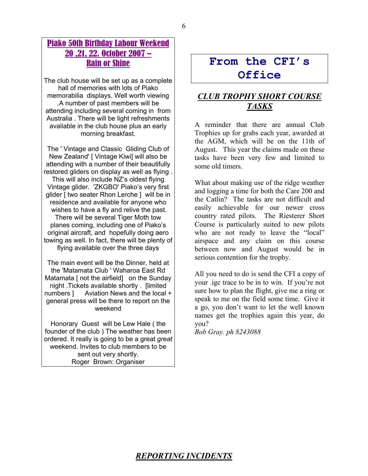#### Piako 50th Birthday Labour Weekend 20 ,21, 22. October 2007 – Rain or Shine

The club house will be set up as a complete hall of memories with lots of Piako memorabilia displays. Well worth viewing .A number of past members will be attending including several coming in from Australia . There will be light refreshments available in the club house plus an early morning breakfast.

The ' Vintage and Classic Gliding Club of New Zealand' [ Vintage Kiwi] will also be attending with a number of their beautifully restored gliders on display as well as flying . This will also include NZ's oldest flying Vintage glider. 'ZKGBO' Piako's very first glider [ two seater Rhon Lerche ] will be in residence and available for anyone who wishes to have a fly and relive the past. There will be several Tiger Moth tow planes coming, including one of Piako's original aircraft, and hopefully doing aero towing as well. In fact, there will be plenty of flying available over the three days

The main event will be the Dinner, held at the 'Matamata Club ' Waharoa East Rd Matamata [ not the airfield] on the Sunday night .Tickets available shortly . [limited numbers ] Aviation News and the local + general press will be there to report on the weekend

Honorary Guest will be Lew Hale ( the founder of the club ) The weather has been ordered. It really is going to be a great *great* weekend. Invites to club members to be sent out very shortly. Roger Brown: Organiser

## **From the CFI's Office**

#### *CLUB TROPHY SHORT COURSE TASKS*

A reminder that there are annual Club Trophies up for grabs each year, awarded at the AGM, which will be on the 11th of August. This year the claims made on these tasks have been very few and limited to some old timers.

What about making use of the ridge weather and logging a time for both the Care 200 and the Catlin? The tasks are not difficult and easily achievable for our newer cross country rated pilots. The Riesterer Short Course is particularly suited to new pilots who are not ready to leave the "local" airspace and any claim on this course between now and August would be in serious contention for the trophy.

All you need to do is send the CFI a copy of your .igc trace to be in to win. If you're not sure how to plan the flight, give me a ring or speak to me on the field some time. Give it a go, you don't want to let the well known names get the trophies again this year, do you?

*Bob Gray. ph 8243088* 

#### *REPORTING INCIDENTS*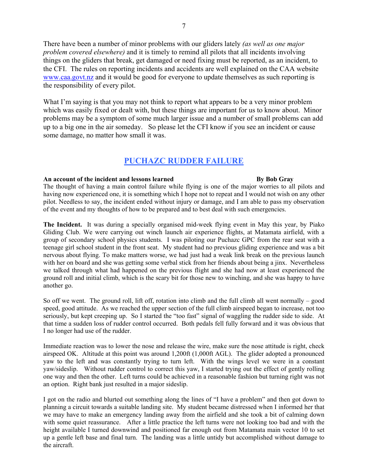There have been a number of minor problems with our gliders lately *(as well as one major problem covered elsewhere)* and it is timely to remind all pilots that all incidents involving things on the gliders that break, get damaged or need fixing must be reported, as an incident, to the CFI. The rules on reporting incidents and accidents are well explained on the CAA website www.caa.govt.nz and it would be good for everyone to update themselves as such reporting is the responsibility of every pilot.

What I'm saying is that you may not think to report what appears to be a very minor problem which was easily fixed or dealt with, but these things are important for us to know about. Minor problems may be a symptom of some much larger issue and a number of small problems can add up to a big one in the air someday. So please let the CFI know if you see an incident or cause some damage, no matter how small it was.

#### **PUCHAZC RUDDER FAILURE**

#### An account of the incident and lessons learned **By Bob Gray**

The thought of having a main control failure while flying is one of the major worries to all pilots and having now experienced one, it is something which I hope not to repeat and I would not wish on any other pilot. Needless to say, the incident ended without injury or damage, and I am able to pass my observation of the event and my thoughts of how to be prepared and to best deal with such emergencies.

**The Incident.** It was during a specially organised mid-week flying event in May this year, by Piako Gliding Club. We were carrying out winch launch air experience flights, at Matamata airfield, with a group of secondary school physics students. I was piloting our Puchazc GPC from the rear seat with a teenage girl school student in the front seat. My student had no previous gliding experience and was a bit nervous about flying. To make matters worse, we had just had a weak link break on the previous launch with her on board and she was getting some verbal stick from her friends about being a jinx. Nevertheless we talked through what had happened on the previous flight and she had now at least experienced the ground roll and initial climb, which is the scary bit for those new to winching, and she was happy to have another go.

So off we went. The ground roll, lift off, rotation into climb and the full climb all went normally – good speed, good attitude. As we reached the upper section of the full climb airspeed began to increase, not too seriously, but kept creeping up. So I started the "too fast" signal of waggling the rudder side to side. At that time a sudden loss of rudder control occurred. Both pedals fell fully forward and it was obvious that I no longer had use of the rudder.

Immediate reaction was to lower the nose and release the wire, make sure the nose attitude is right, check airspeed OK. Altitude at this point was around 1,200ft (1,000ft AGL). The glider adopted a pronounced yaw to the left and was constantly trying to turn left. With the wings level we were in a constant yaw/sideslip. Without rudder control to correct this yaw, I started trying out the effect of gently rolling one way and then the other. Left turns could be achieved in a reasonable fashion but turning right was not an option. Right bank just resulted in a major sideslip.

I got on the radio and blurted out something along the lines of "I have a problem" and then got down to planning a circuit towards a suitable landing site. My student became distressed when I informed her that we may have to make an emergency landing away from the airfield and she took a bit of calming down with some quiet reassurance. After a little practice the left turns were not looking too bad and with the height available I turned downwind and positioned far enough out from Matamata main vector 10 to set up a gentle left base and final turn. The landing was a little untidy but accomplished without damage to the aircraft.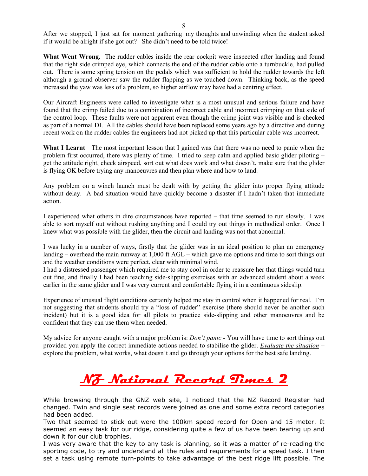After we stopped, I just sat for moment gathering my thoughts and unwinding when the student asked if it would be alright if she got out? She didn't need to be told twice!

What Went Wrong. The rudder cables inside the rear cockpit were inspected after landing and found that the right side crimped eye, which connects the end of the rudder cable onto a turnbuckle, had pulled out. There is some spring tension on the pedals which was sufficient to hold the rudder towards the left although a ground observer saw the rudder flapping as we touched down. Thinking back, as the speed increased the yaw was less of a problem, so higher airflow may have had a centring effect.

Our Aircraft Engineers were called to investigate what is a most unusual and serious failure and have found that the crimp failed due to a combination of incorrect cable and incorrect crimping on that side of the control loop. These faults were not apparent even though the crimp joint was visible and is checked as part of a normal DI. All the cables should have been replaced some years ago by a directive and during recent work on the rudder cables the engineers had not picked up that this particular cable was incorrect.

**What I Learnt** The most important lesson that I gained was that there was no need to panic when the problem first occurred, there was plenty of time. I tried to keep calm and applied basic glider piloting – get the attitude right, check airspeed, sort out what does work and what doesn't, make sure that the glider is flying OK before trying any manoeuvres and then plan where and how to land.

Any problem on a winch launch must be dealt with by getting the glider into proper flying attitude without delay. A bad situation would have quickly become a disaster if I hadn't taken that immediate action.

I experienced what others in dire circumstances have reported – that time seemed to run slowly. I was able to sort myself out without rushing anything and I could try out things in methodical order. Once I knew what was possible with the glider, then the circuit and landing was not that abnormal.

I was lucky in a number of ways, firstly that the glider was in an ideal position to plan an emergency landing – overhead the main runway at 1,000 ft AGL – which gave me options and time to sort things out and the weather conditions were perfect, clear with minimal wind.

I had a distressed passenger which required me to stay cool in order to reassure her that things would turn out fine, and finally I had been teaching side-slipping exercises with an advanced student about a week earlier in the same glider and I was very current and comfortable flying it in a continuous sideslip.

Experience of unusual flight conditions certainly helped me stay in control when it happened for real. I'm not suggesting that students should try a "loss of rudder" exercise (there should never be another such incident) but it is a good idea for all pilots to practice side-slipping and other manoeuvres and be confident that they can use them when needed.

My advice for anyone caught with a major problem is: *Don't panic* - You will have time to sort things out provided you apply the correct immediate actions needed to stabilise the glider. *Evaluate the situation* – explore the problem, what works, what doesn't and go through your options for the best safe landing.

# **NZ National Record Times 2**

While browsing through the GNZ web site, I noticed that the NZ Record Register had changed. Twin and single seat records were joined as one and some extra record categories had been added.

Two that seemed to stick out were the 100km speed record for Open and 15 meter. It seemed an easy task for our ridge, considering quite a few of us have been tearing up and down it for our club trophies.

I was very aware that the key to any task is planning, so it was a matter of re-reading the sporting code, to try and understand all the rules and requirements for a speed task. I then set a task using remote turn-points to take advantage of the best ridge lift possible. The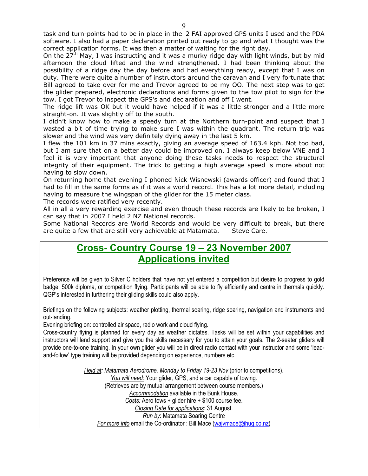On the 27<sup>th</sup> May, I was instructing and it was a murky ridge day with light winds, but by mid afternoon the cloud lifted and the wind strengthened. I had been thinking about the possibility of a ridge day the day before and had everything ready, except that I was on duty. There were quite a number of instructors around the caravan and I very fortunate that Bill agreed to take over for me and Trevor agreed to be my OO. The next step was to get the glider prepared, electronic declarations and forms given to the tow pilot to sign for the tow. I got Trevor to inspect the GPS's and declaration and off I went.

The ridge lift was OK but it would have helped if it was a little stronger and a little more straight-on. It was slightly off to the south.

I didn't know how to make a speedy turn at the Northern turn-point and suspect that I wasted a bit of time trying to make sure I was within the quadrant. The return trip was slower and the wind was very definitely dying away in the last 5 km.

I flew the 101 km in 37 mins exactly, giving an average speed of 163.4 kph. Not too bad, but I am sure that on a better day could be improved on. I always keep below VNE and I feel it is very important that anyone doing these tasks needs to respect the structural integrity of their equipment. The trick to getting a high average speed is more about not having to slow down.

On returning home that evening I phoned Nick Wisnewski (awards officer) and found that I had to fill in the same forms as if it was a world record. This has a lot more detail, including having to measure the wingspan of the glider for the 15 meter class.

The records were ratified very recently.

All in all a very rewarding exercise and even though these records are likely to be broken, I can say that in 2007 I held 2 NZ National records.

Some National Records are World Records and would be very difficult to break, but there are quite a few that are still very achievable at Matamata. Steve Care.

### **Cross- Country Course 19 – 23 November 2007 Applications invited**

Preference will be given to Silver C holders that have not yet entered a competition but desire to progress to gold badge, 500k diploma, or competition flying. Participants will be able to fly efficiently and centre in thermals quickly. QGP's interested in furthering their gliding skills could also apply.

Briefings on the following subjects: weather plotting, thermal soaring, ridge soaring, navigation and instruments and out-landing.

Evening briefing on: controlled air space, radio work and cloud flying.

Cross-country flying is planned for every day as weather dictates. Tasks will be set within your capabilities and instructors will lend support and give you the skills necessary for you to attain your goals. The 2-seater gliders will provide one-to-one training. In your own glider you will be in direct radio contact with your instructor and some 'leadand-follow' type training will be provided depending on experience, numbers etc.

> *Held at: Matamata Aerodrome. Monday to Friday 19-23 Nov* (prior to competitions). *You will need:* Your glider, GPS, and a car capable of towing. (Retrieves are by mutual arrangement between course members.) *Accommodation* available in the Bunk House. *Costs:* Aero tows + glider hire + \$100 course fee. *Closing Date for applications*: 31 August. *Run by*: Matamata Soaring Centre *For more info* email the Co-ordinator : Bill Mace (wajvmace@ihug.co.nz)